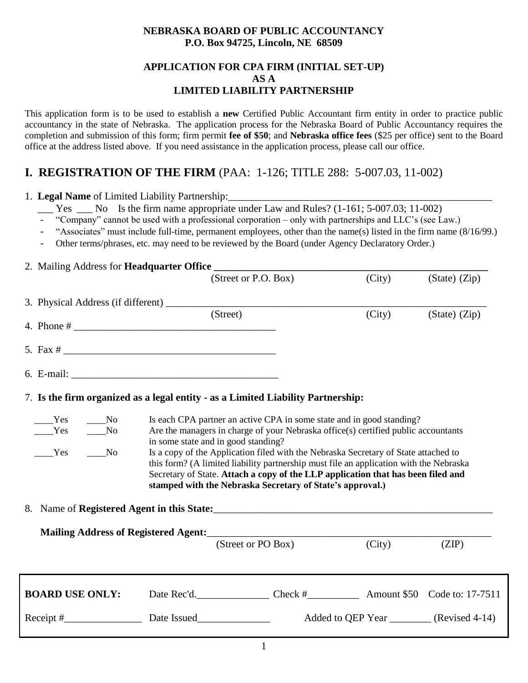## **NEBRASKA BOARD OF PUBLIC ACCOUNTANCY P.O. Box 94725, Lincoln, NE 68509**

## **APPLICATION FOR CPA FIRM (INITIAL SET-UP) AS A LIMITED LIABILITY PARTNERSHIP**

This application form is to be used to establish a **new** Certified Public Accountant firm entity in order to practice public accountancy in the state of Nebraska. The application process for the Nebraska Board of Public Accountancy requires the completion and submission of this form; firm permit **fee of \$50**; and **Nebraska office fees** (\$25 per office) sent to the Board office at the address listed above. If you need assistance in the application process, please call our office.

# **I. REGISTRATION OF THE FIRM** (PAA: 1-126; TITLE 288: 5-007.03, 11-002)

1. Legal Name of Limited Liability Partnership:

- $\frac{1}{2}$  Yes  $\frac{1}{2}$  No Is the firm name appropriate under Law and Rules? (1-161; 5-007.03; 11-002)
- "Company" cannot be used with a professional corporation only with partnerships and LLC's (see Law.)
- "Associates" must include full-time, permanent employees, other than the name(s) listed in the firm name (8/16/99.)
- Other terms/phrases, etc. may need to be reviewed by the Board (under Agency Declaratory Order.)

## 2. Mailing Address for **Headquarter Office**

|  |                                                                                  |                                                                                                                                                                                                                                                                                                                                                                                                                                                                                                                                      | (Street or P.O. Box)                                                                                   |  | (City) | (State) (Zip)                              |
|--|----------------------------------------------------------------------------------|--------------------------------------------------------------------------------------------------------------------------------------------------------------------------------------------------------------------------------------------------------------------------------------------------------------------------------------------------------------------------------------------------------------------------------------------------------------------------------------------------------------------------------------|--------------------------------------------------------------------------------------------------------|--|--------|--------------------------------------------|
|  |                                                                                  |                                                                                                                                                                                                                                                                                                                                                                                                                                                                                                                                      |                                                                                                        |  |        |                                            |
|  |                                                                                  |                                                                                                                                                                                                                                                                                                                                                                                                                                                                                                                                      | (Street)                                                                                               |  | (City) | $(State)$ $(Zip)$                          |
|  |                                                                                  |                                                                                                                                                                                                                                                                                                                                                                                                                                                                                                                                      |                                                                                                        |  |        |                                            |
|  |                                                                                  |                                                                                                                                                                                                                                                                                                                                                                                                                                                                                                                                      |                                                                                                        |  |        |                                            |
|  | 7. Is the firm organized as a legal entity - as a Limited Liability Partnership: |                                                                                                                                                                                                                                                                                                                                                                                                                                                                                                                                      |                                                                                                        |  |        |                                            |
|  | $\rule{1em}{0.15mm}$ No<br>Yes<br>Yes<br>$\rm No$<br>N <sub>0</sub><br>Yes       | Is each CPA partner an active CPA in some state and in good standing?<br>Are the managers in charge of your Nebraska office(s) certified public accountants<br>in some state and in good standing?<br>Is a copy of the Application filed with the Nebraska Secretary of State attached to<br>this form? (A limited liability partnership must file an application with the Nebraska<br>Secretary of State. Attach a copy of the LLP application that has been filed and<br>stamped with the Nebraska Secretary of State's approval.) |                                                                                                        |  |        |                                            |
|  | 8. Name of Registered Agent in this State:                                       |                                                                                                                                                                                                                                                                                                                                                                                                                                                                                                                                      |                                                                                                        |  |        |                                            |
|  |                                                                                  |                                                                                                                                                                                                                                                                                                                                                                                                                                                                                                                                      | (Street or PO Box)                                                                                     |  | (City) | (ZIP)                                      |
|  | <b>BOARD USE ONLY:</b>                                                           |                                                                                                                                                                                                                                                                                                                                                                                                                                                                                                                                      | Date Rec'd. <b>Configure 2.17-7511</b> Check # <b>Configure 2.17-7511</b> Amount \$50 Code to: 17-7511 |  |        |                                            |
|  |                                                                                  |                                                                                                                                                                                                                                                                                                                                                                                                                                                                                                                                      |                                                                                                        |  |        | Added to QEP Year _________ (Revised 4-14) |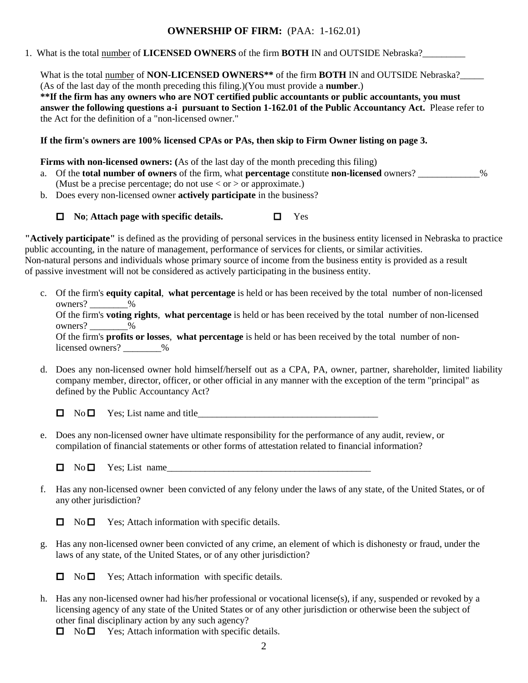## **OWNERSHIP OF FIRM:** (PAA: 1-162.01)

1. What is the total number of **LICENSED OWNERS** of the firm **BOTH** IN and OUTSIDE Nebraska?\_\_\_\_\_\_\_\_\_

What is the total number of **NON-LICENSED OWNERS**<sup>\*\*</sup> of the firm **BOTH** IN and OUTSIDE Nebraska?\_\_\_\_\_\_ (As of the last day of the month preceding this filing.)(You must provide a **number**.) **\*\*If the firm has any owners who are NOT certified public accountants or public accountants, you must answer the following questions a-i pursuant to Section 1-162.01 of the Public Accountancy Act.** Please refer to the Act for the definition of a "non-licensed owner."

**If the firm's owners are 100% licensed CPAs or PAs, then skip to Firm Owner listing on page 3.**

**Firms with non-licensed owners:** (As of the last day of the month preceding this filing)

- a. Of the **total number of owners** of the firm, what **percentage** constitute **non-licensed** owners? \_\_\_\_\_\_\_\_\_\_\_\_\_% (Must be a precise percentage; do not use  $\langle$  or  $\rangle$  or approximate.)
- b. Does every non-licensed owner **actively participate** in the business?



**"Actively participate"** is defined as the providing of personal services in the business entity licensed in Nebraska to practice public accounting, in the nature of management, performance of services for clients, or similar activities. Non-natural persons and individuals whose primary source of income from the business entity is provided as a result of passive investment will not be considered as actively participating in the business entity.

c. Of the firm's **equity capital**, **what percentage** is held or has been received by the total number of non-licensed owners?  $\frac{9}{6}$ 

Of the firm's **voting rights**, **what percentage** is held or has been received by the total number of non-licensed owners?  $\frac{9}{6}$ 

Of the firm's **profits or losses**, **what percentage** is held or has been received by the total number of nonlicensed owners?  $\frac{9}{6}$ 

d. Does any non-licensed owner hold himself/herself out as a CPA, PA, owner, partner, shareholder, limited liability company member, director, officer, or other official in any manner with the exception of the term "principal" as defined by the Public Accountancy Act?

 $\Box$  No  $\Box$  Yes; List name and title

- e. Does any non-licensed owner have ultimate responsibility for the performance of any audit, review, or compilation of financial statements or other forms of attestation related to financial information?
	- $\Box$  No  $\Box$  Yes; List name
- f. Has any non-licensed owner been convicted of any felony under the laws of any state, of the United States, or of any other jurisdiction?
	- $\Box$  No  $\Box$  Yes; Attach information with specific details.
- g. Has any non-licensed owner been convicted of any crime, an element of which is dishonesty or fraud, under the laws of any state, of the United States, or of any other jurisdiction?

 $\Box$  No  $\Box$  Yes; Attach information with specific details.

h. Has any non-licensed owner had his/her professional or vocational license(s), if any, suspended or revoked by a licensing agency of any state of the United States or of any other jurisdiction or otherwise been the subject of other final disciplinary action by any such agency?

 $\Box$  No  $\Box$  Yes; Attach information with specific details.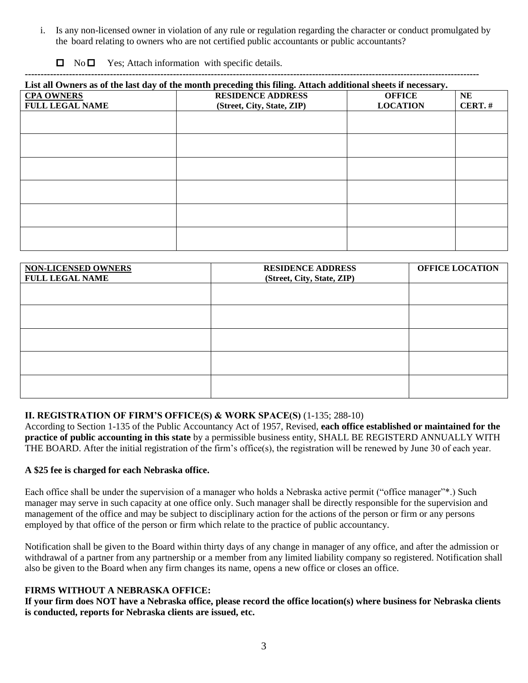i. Is any non-licensed owner in violation of any rule or regulation regarding the character or conduct promulgated by the board relating to owners who are not certified public accountants or public accountants?

| $\Box$ | $\rm No$ $\Box$ | Yes; Attach information with specific details. |  |
|--------|-----------------|------------------------------------------------|--|
|--------|-----------------|------------------------------------------------|--|

## **------------------------------------------------------------------------------------------------------------------------------------------------**

| List all Owners as of the last day of the month preceding this filing. Attach additional sheets if necessary. |                            |                 |           |  |
|---------------------------------------------------------------------------------------------------------------|----------------------------|-----------------|-----------|--|
| <b>CPA OWNERS</b>                                                                                             | <b>RESIDENCE ADDRESS</b>   | <b>OFFICE</b>   | <b>NE</b> |  |
| <b>FULL LEGAL NAME</b>                                                                                        | (Street, City, State, ZIP) | <b>LOCATION</b> | CERT.#    |  |
|                                                                                                               |                            |                 |           |  |
|                                                                                                               |                            |                 |           |  |
|                                                                                                               |                            |                 |           |  |
|                                                                                                               |                            |                 |           |  |
|                                                                                                               |                            |                 |           |  |
|                                                                                                               |                            |                 |           |  |
|                                                                                                               |                            |                 |           |  |
|                                                                                                               |                            |                 |           |  |
|                                                                                                               |                            |                 |           |  |
|                                                                                                               |                            |                 |           |  |
|                                                                                                               |                            |                 |           |  |
|                                                                                                               |                            |                 |           |  |

| <b>NON-LICENSED OWNERS</b><br><b>FULL LEGAL NAME</b> | <b>RESIDENCE ADDRESS</b><br>(Street, City, State, ZIP) | <b>OFFICE LOCATION</b> |
|------------------------------------------------------|--------------------------------------------------------|------------------------|
|                                                      |                                                        |                        |
|                                                      |                                                        |                        |
|                                                      |                                                        |                        |
|                                                      |                                                        |                        |
|                                                      |                                                        |                        |

## **II. REGISTRATION OF FIRM'S OFFICE(S) & WORK SPACE(S)** (1-135; 288-10)

According to Section 1-135 of the Public Accountancy Act of 1957, Revised, **each office established or maintained for the practice of public accounting in this state** by a permissible business entity, SHALL BE REGISTERD ANNUALLY WITH THE BOARD. After the initial registration of the firm's office(s), the registration will be renewed by June 30 of each year.

#### **A \$25 fee is charged for each Nebraska office.**

Each office shall be under the supervision of a manager who holds a Nebraska active permit ("office manager"\*.) Such manager may serve in such capacity at one office only. Such manager shall be directly responsible for the supervision and management of the office and may be subject to disciplinary action for the actions of the person or firm or any persons employed by that office of the person or firm which relate to the practice of public accountancy.

Notification shall be given to the Board within thirty days of any change in manager of any office, and after the admission or withdrawal of a partner from any partnership or a member from any limited liability company so registered. Notification shall also be given to the Board when any firm changes its name, opens a new office or closes an office.

#### **FIRMS WITHOUT A NEBRASKA OFFICE:**

**If your firm does NOT have a Nebraska office, please record the office location(s) where business for Nebraska clients is conducted, reports for Nebraska clients are issued, etc.**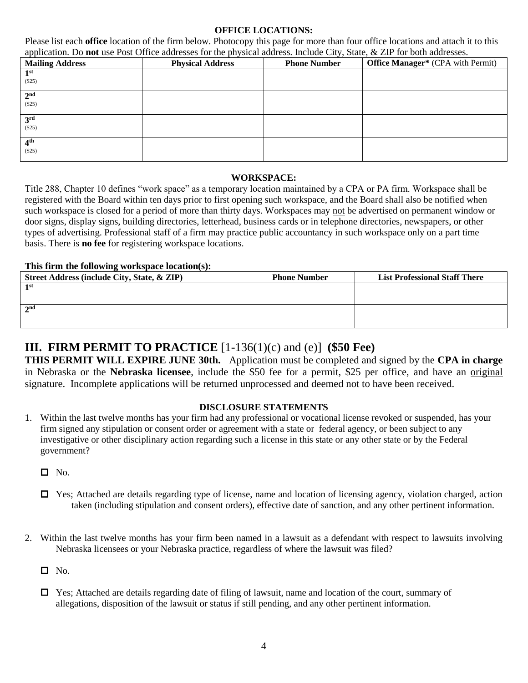## **OFFICE LOCATIONS:**

Please list each **office** location of the firm below. Photocopy this page for more than four office locations and attach it to this application. Do **not** use Post Office addresses for the physical address. Include City, State, & ZIP for both addresses.

| - -<br><b>Mailing Address</b> | .<br><b>Physical Address</b> | <b>Phone Number</b> | <b>Office Manager*</b> (CPA with Permit) |
|-------------------------------|------------------------------|---------------------|------------------------------------------|
| 1 <sup>st</sup>               |                              |                     |                                          |
| (\$25)                        |                              |                     |                                          |
| 2 <sup>nd</sup>               |                              |                     |                                          |
| (\$25)                        |                              |                     |                                          |
| 3 <sup>rd</sup>               |                              |                     |                                          |
| (\$25)                        |                              |                     |                                          |
| 4 <sup>th</sup>               |                              |                     |                                          |
| $(\$25)$                      |                              |                     |                                          |

#### **WORKSPACE:**

Title 288, Chapter 10 defines "work space" as a temporary location maintained by a CPA or PA firm. Workspace shall be registered with the Board within ten days prior to first opening such workspace, and the Board shall also be notified when such workspace is closed for a period of more than thirty days. Workspaces may not be advertised on permanent window or door signs, display signs, building directories, letterhead, business cards or in telephone directories, newspapers, or other types of advertising. Professional staff of a firm may practice public accountancy in such workspace only on a part time basis. There is **no fee** for registering workspace locations.

## **This firm the following workspace location(s):**

| Street Address (include City, State, & ZIP) | <b>Phone Number</b> | <b>List Professional Staff There</b> |
|---------------------------------------------|---------------------|--------------------------------------|
| 1st                                         |                     |                                      |
|                                             |                     |                                      |
| 2 <sup>nd</sup>                             |                     |                                      |
|                                             |                     |                                      |

## **III. FIRM PERMIT TO PRACTICE** [1-136(1)(c) and (e)] **(\$50 Fee)**

**THIS PERMIT WILL EXPIRE JUNE 30th.** Application must be completed and signed by the **CPA in charge** in Nebraska or the **Nebraska licensee**, include the \$50 fee for a permit, \$25 per office, and have an original signature. Incomplete applications will be returned unprocessed and deemed not to have been received.

## **DISCLOSURE STATEMENTS**

- 1. Within the last twelve months has your firm had any professional or vocational license revoked or suspended, has your firm signed any stipulation or consent order or agreement with a state or federal agency, or been subject to any investigative or other disciplinary action regarding such a license in this state or any other state or by the Federal government?
	- $\Box$  No.
	- $\Box$  Yes; Attached are details regarding type of license, name and location of licensing agency, violation charged, action taken (including stipulation and consent orders), effective date of sanction, and any other pertinent information.
- 2. Within the last twelve months has your firm been named in a lawsuit as a defendant with respect to lawsuits involving Nebraska licensees or your Nebraska practice, regardless of where the lawsuit was filed?

 $\Box$  No.

□ Yes; Attached are details regarding date of filing of lawsuit, name and location of the court, summary of allegations, disposition of the lawsuit or status if still pending, and any other pertinent information.